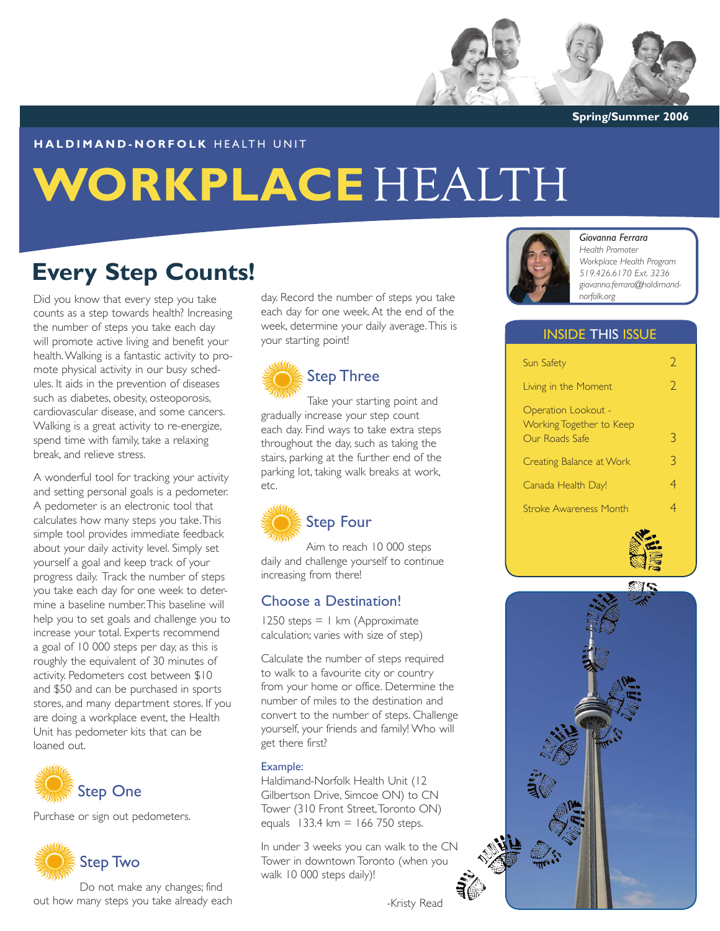

**Spring/Summer 2006**

#### **HALDIMAND-NORFOLK HEALTH UNIT**

# **WORKPLACE** HEALTH

## **Every Step Counts!**

Did you know that every step you take counts as a step towards health? Increasing the number of steps you take each day will promote active living and benefit your health. Walking is a fantastic activity to promote physical activity in our busy schedules. It aids in the prevention of diseases such as diabetes, obesity, osteoporosis, cardiovascular disease, and some cancers. Walking is a great activity to re-energize, spend time with family, take a relaxing break, and relieve stress.

A wonderful tool for tracking your activity and setting personal goals is a pedometer. A pedometer is an electronic tool that calculates how many steps you take. This simple tool provides immediate feedback about your daily activity level. Simply set yourself a goal and keep track of your progress daily. Track the number of steps you take each day for one week to determine a baseline number. This baseline will help you to set goals and challenge you to increase your total. Experts recommend a goal of 10 000 steps per day, as this is roughly the equivalent of 30 minutes of activity. Pedometers cost between \$10 and \$50 and can be purchased in sports stores, and many department stores. If you are doing a workplace event, the Health Unit has pedometer kits that can be loaned out.



Purchase or sign out pedometers.



Do not make any changes; find out how many steps you take already each

day. Record the number of steps you take each day for one week. At the end of the week, determine your daily average. This is your starting point!



Take your starting point and gradually increase your step count each day. Find ways to take extra steps throughout the day, such as taking the stairs, parking at the further end of the parking lot, taking walk breaks at work, etc.



#### Step Four

Aim to reach 10 000 steps daily and challenge yourself to continue increasing from there!

#### Choose a Destination!

 $1250$  steps = 1 km (Approximate calculation; varies with size of step)

Calculate the number of steps required to walk to a favourite city or country from your home or office. Determine the number of miles to the destination and convert to the number of steps. Challenge yourself, your friends and family! Who will get there first?

#### Example:

Haldimand-Norfolk Health Unit (12 Gilbertson Drive, Simcoe ON) to CN Tower (310 Front Street, Toronto ON) equals  $133.4 \text{ km} = 166 750 \text{ steps.}$ 

In under 3 weeks you can walk to the CN Tower in downtown Toronto (when you walk 10 000 steps daily)!





#### *Giovanna Ferrara*

*Health Promoter Workplace Health Program 519.426.6170 Ext. 3236 giovanna.ferrara@haldimandnorfolk.org*

#### INSIDE THIS ISSUE

| Sun Safety                                      | D  |
|-------------------------------------------------|----|
| Living in the Moment                            | C. |
| Operation Lookout -<br>Working Together to Keep |    |
| Our Roads Safe                                  | 3  |
| Creating Balance at Work                        | 3  |
| Canada Health Day!                              | 4  |
| <b>Stroke Awareness Month</b>                   |    |



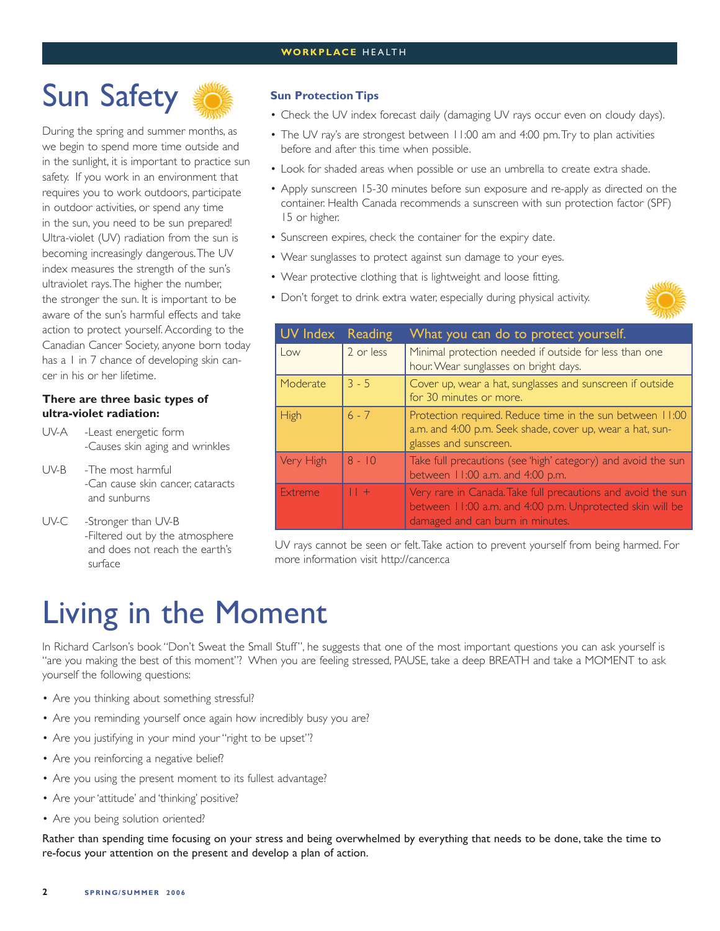# Sun Safety

During the spring and summer months, as we begin to spend more time outside and in the sunlight, it is important to practice sun safety. If you work in an environment that requires you to work outdoors, participate in outdoor activities, or spend any time in the sun, you need to be sun prepared! Ultra-violet (UV) radiation from the sun is becoming increasingly dangerous. The UV index measures the strength of the sun's ultraviolet rays. The higher the number, the stronger the sun. It is important to be aware of the sun's harmful effects and take action to protect yourself. According to the Canadian Cancer Society, anyone born today has a 1 in 7 chance of developing skin cancer in his or her lifetime.

#### **There are three basic types of ultra-violet radiation:**

UV-A -Least energetic form -Causes skin aging and wrinkles

- UV-B -The most harmful -Can cause skin cancer, cataracts and sunburns
- UV-C -Stronger than UV-B -Filtered out by the atmosphere and does not reach the earth's surface

#### **Sun Protection Tips**

- Check the UV index forecast daily (damaging UV rays occur even on cloudy days).
- The UV ray's are strongest between 11:00 am and 4:00 pm. Try to plan activities before and after this time when possible.
- Look for shaded areas when possible or use an umbrella to create extra shade.
- Apply sunscreen 15-30 minutes before sun exposure and re-apply as directed on the container. Health Canada recommends a sunscreen with sun protection factor (SPF) 15 or higher.
- Sunscreen expires, check the container for the expiry date.
- Wear sunglasses to protect against sun damage to your eyes.
- Wear protective clothing that is lightweight and loose fitting.
- Don't forget to drink extra water, especially during physical activity.



| UV Index  | <b>Reading</b> | What you can do to protect yourself.                                                                                                                          |
|-----------|----------------|---------------------------------------------------------------------------------------------------------------------------------------------------------------|
| Low       | 2 or less      | Minimal protection needed if outside for less than one<br>hour. Wear sunglasses on bright days.                                                               |
| Moderate  | $3 - 5$        | Cover up, wear a hat, sunglasses and sunscreen if outside<br>for 30 minutes or more.                                                                          |
| High      | $6 - 7$        | Protection required. Reduce time in the sun between 11:00<br>a.m. and 4:00 p.m. Seek shade, cover up, wear a hat, sun-<br>glasses and sunscreen.              |
| Very High | $8 - 10$       | Take full precautions (see 'high' category) and avoid the sun<br>between 11:00 a.m. and 4:00 p.m.                                                             |
| Extreme   | $ $ $ $ +      | Very rare in Canada. Take full precautions and avoid the sun<br>between 11:00 a.m. and 4:00 p.m. Unprotected skin will be<br>damaged and can burn in minutes. |

UV rays cannot be seen or felt. Take action to prevent yourself from being harmed. For more information visit http://cancer.ca

# Living in the Moment

In Richard Carlson's book "Don't Sweat the Small Stuff", he suggests that one of the most important questions you can ask yourself is "are you making the best of this moment"? When you are feeling stressed, PAUSE, take a deep BREATH and take a MOMENT to ask yourself the following questions:

- Are you thinking about something stressful?
- Are you reminding yourself once again how incredibly busy you are?
- Are you justifying in your mind your "right to be upset"?
- Are you reinforcing a negative belief?
- Are you using the present moment to its fullest advantage?
- Are your 'attitude' and 'thinking' positive?
- Are you being solution oriented?

Rather than spending time focusing on your stress and being overwhelmed by everything that needs to be done, take the time to re-focus your attention on the present and develop a plan of action.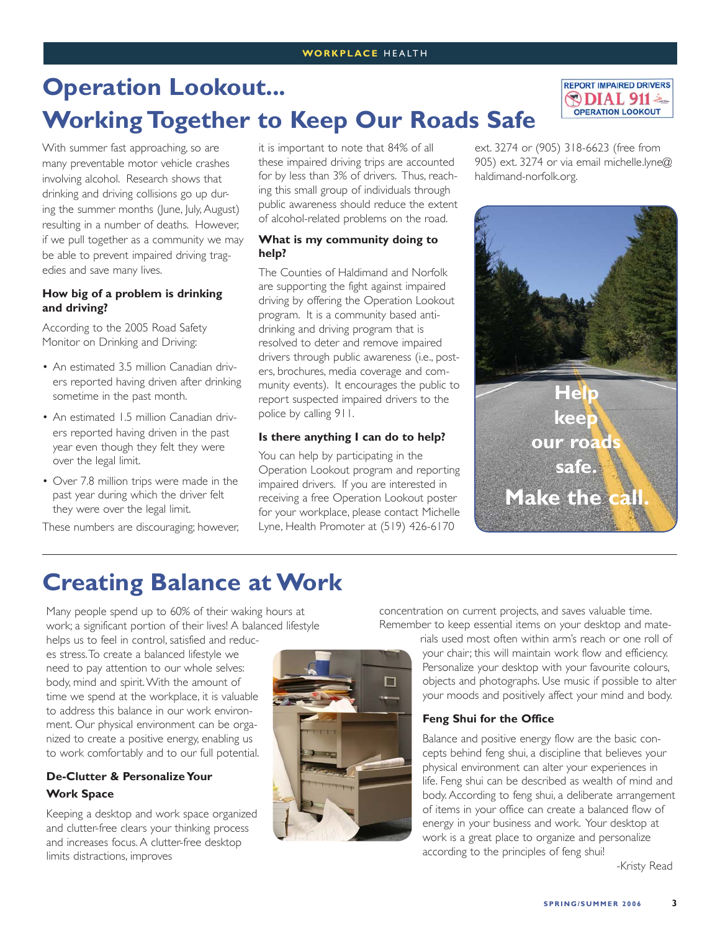# **Operation Lookout... Working Together to Keep Our Roads Safe**

With summer fast approaching, so are many preventable motor vehicle crashes involving alcohol. Research shows that drinking and driving collisions go up during the summer months (June, July, August) resulting in a number of deaths. However, if we pull together as a community we may be able to prevent impaired driving tragedies and save many lives.

#### **How big of a problem is drinking and driving?**

According to the 2005 Road Safety Monitor on Drinking and Driving:

- An estimated 3.5 million Canadian drivers reported having driven after drinking sometime in the past month.
- An estimated 1.5 million Canadian drivers reported having driven in the past year even though they felt they were over the legal limit.
- Over 7.8 million trips were made in the past year during which the driver felt they were over the legal limit.

These numbers are discouraging; however,

it is important to note that 84% of all these impaired driving trips are accounted for by less than 3% of drivers. Thus, reaching this small group of individuals through public awareness should reduce the extent of alcohol-related problems on the road.

#### **What is my community doing to help?**

The Counties of Haldimand and Norfolk are supporting the fight against impaired driving by offering the Operation Lookout program. It is a community based antidrinking and driving program that is resolved to deter and remove impaired drivers through public awareness (i.e., posters, brochures, media coverage and community events). It encourages the public to report suspected impaired drivers to the police by calling 911.

#### **Is there anything I can do to help?**

You can help by participating in the Operation Lookout program and reporting impaired drivers. If you are interested in receiving a free Operation Lookout poster for your workplace, please contact Michelle Lyne, Health Promoter at (519) 426-6170

ext. 3274 or (905) 318-6623 (free from 905) ext. 3274 or via email michelle.lyne@ haldimand-norfolk.org.

**REPORT IMPAIRED DRIVERS**  $DIAL 911$ **OPERATION LOOKOUT** 



### **Creating Balance at Work**

Many people spend up to 60% of their waking hours at work; a significant portion of their lives! A balanced lifestyle

helps us to feel in control, satisfied and reduces stress. To create a balanced lifestyle we need to pay attention to our whole selves: body, mind and spirit. With the amount of time we spend at the workplace, it is valuable to address this balance in our work environment. Our physical environment can be organized to create a positive energy, enabling us to work comfortably and to our full potential.

#### **De-Clutter & Personalize Your Work Space**

Keeping a desktop and work space organized and clutter-free clears your thinking process and increases focus. A clutter-free desktop limits distractions, improves



concentration on current projects, and saves valuable time. Remember to keep essential items on your desktop and mate-

> rials used most often within arm's reach or one roll of your chair; this will maintain work flow and efficiency. Personalize your desktop with your favourite colours, objects and photographs. Use music if possible to alter your moods and positively affect your mind and body.

#### **Feng Shui for the Office**

Balance and positive energy flow are the basic concepts behind feng shui, a discipline that believes your physical environment can alter your experiences in life. Feng shui can be described as wealth of mind and body. According to feng shui, a deliberate arrangement of items in your office can create a balanced flow of energy in your business and work. Your desktop at work is a great place to organize and personalize according to the principles of feng shui!

-Kristy Read